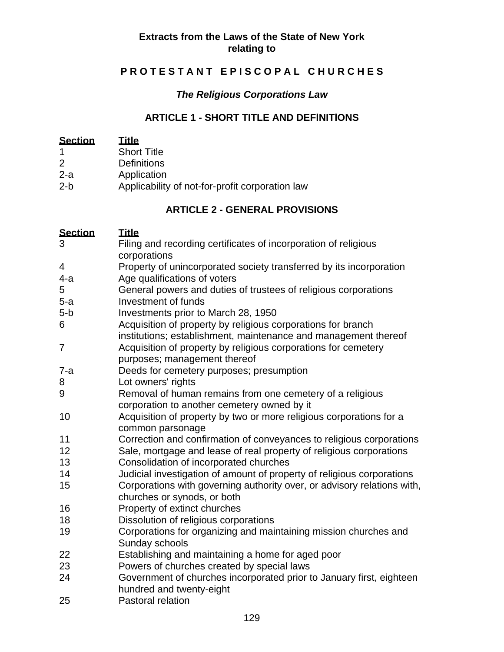# **Extracts from the Laws of the State of New York relating to**

# PROTESTANT EPISCOPAL CHURCHES

# *The Religious Corporations Law*

# **ARTICLE 1 - SHORT TITLE AND DEFlNITlONS**

| <b>Section</b> | <b>Title</b>       |  |
|----------------|--------------------|--|
| 1              | <b>Short Title</b> |  |
| 2              | <b>Definitions</b> |  |

- 2-a Application
- 2-b Applicability of not-for-profit corporation law

# **ARTICLE 2 - GENERAL PROVISIONS**

| <b>Section</b> | <b>Title</b>                                                            |
|----------------|-------------------------------------------------------------------------|
| 3              | Filing and recording certificates of incorporation of religious         |
|                | corporations                                                            |
| 4              | Property of unincorporated society transferred by its incorporation     |
| $4-a$          | Age qualifications of voters                                            |
| 5              | General powers and duties of trustees of religious corporations         |
| $5-a$          | Investment of funds                                                     |
| $5-b$          | Investments prior to March 28, 1950                                     |
| 6              | Acquisition of property by religious corporations for branch            |
|                | institutions; establishment, maintenance and management thereof         |
| 7              | Acquisition of property by religious corporations for cemetery          |
|                | purposes; management thereof                                            |
| $7-a$          | Deeds for cemetery purposes; presumption                                |
| 8              | Lot owners' rights                                                      |
| 9              | Removal of human remains from one cemetery of a religious               |
|                | corporation to another cemetery owned by it                             |
| 10             | Acquisition of property by two or more religious corporations for a     |
|                | common parsonage                                                        |
| 11             | Correction and confirmation of conveyances to religious corporations    |
| 12             | Sale, mortgage and lease of real property of religious corporations     |
| 13             | Consolidation of incorporated churches                                  |
| 14             | Judicial investigation of amount of property of religious corporations  |
| 15             | Corporations with governing authority over, or advisory relations with, |
|                | churches or synods, or both                                             |
| 16             | Property of extinct churches                                            |
| 18             | Dissolution of religious corporations                                   |
| 19             | Corporations for organizing and maintaining mission churches and        |
|                | Sunday schools                                                          |
| 22             | Establishing and maintaining a home for aged poor                       |
| 23             | Powers of churches created by special laws                              |
| 24             | Government of churches incorporated prior to January first, eighteen    |
|                | hundred and twenty-eight                                                |
| 25             | Pastoral relation                                                       |

129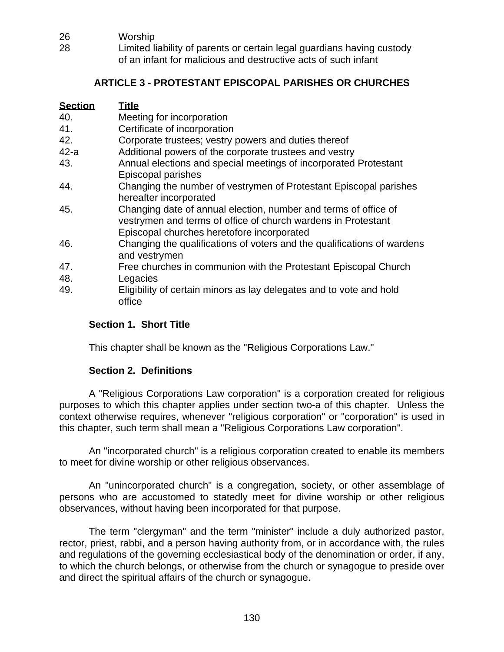26 Worship

28 Limited liability of parents or certain legal guardians having custody of an infant for malicious and destructive acts of such infant

# **ARTICLE 3 - PROTESTANT EPISCOPAL PARISHES OR CHURCHES**

| <b>Section</b> | <b>Title</b>                                                                                                                                                                   |
|----------------|--------------------------------------------------------------------------------------------------------------------------------------------------------------------------------|
| 40.            | Meeting for incorporation                                                                                                                                                      |
| 41.            | Certificate of incorporation                                                                                                                                                   |
| 42.            | Corporate trustees; vestry powers and duties thereof                                                                                                                           |
| $42-a$         | Additional powers of the corporate trustees and vestry                                                                                                                         |
| 43.            | Annual elections and special meetings of incorporated Protestant<br>Episcopal parishes                                                                                         |
| 44.            | Changing the number of vestrymen of Protestant Episcopal parishes<br>hereafter incorporated                                                                                    |
| 45.            | Changing date of annual election, number and terms of office of<br>vestrymen and terms of office of church wardens in Protestant<br>Episcopal churches heretofore incorporated |
| 46.            | Changing the qualifications of voters and the qualifications of wardens<br>and vestrymen                                                                                       |
| 47.            | Free churches in communion with the Protestant Episcopal Church                                                                                                                |
| 48.            | Legacies                                                                                                                                                                       |
| 49.            | Eligibility of certain minors as lay delegates and to vote and hold<br>office                                                                                                  |

# **Section 1. Short Title**

This chapter shall be known as the "Religious Corporations Law."

### **Section 2. Definitions**

 A "Religious Corporations Law corporation" is a corporation created for religious purposes to which this chapter applies under section two-a of this chapter. Unless the context otherwise requires, whenever "religious corporation" or "corporation" is used in this chapter, such term shall mean a "Religious Corporations Law corporation".

 An "incorporated church" is a religious corporation created to enable its members to meet for divine worship or other religious observances.

 An "unincorporated church" is a congregation, society, or other assemblage of persons who are accustomed to statedly meet for divine worship or other religious observances, without having been incorporated for that purpose.

 The term "clergyman" and the term "minister" include a duly authorized pastor, rector, priest, rabbi, and a person having authority from, or in accordance with, the rules and regulations of the governing ecclesiastical body of the denomination or order, if any, to which the church belongs, or otherwise from the church or synagogue to preside over and direct the spiritual affairs of the church or synagogue.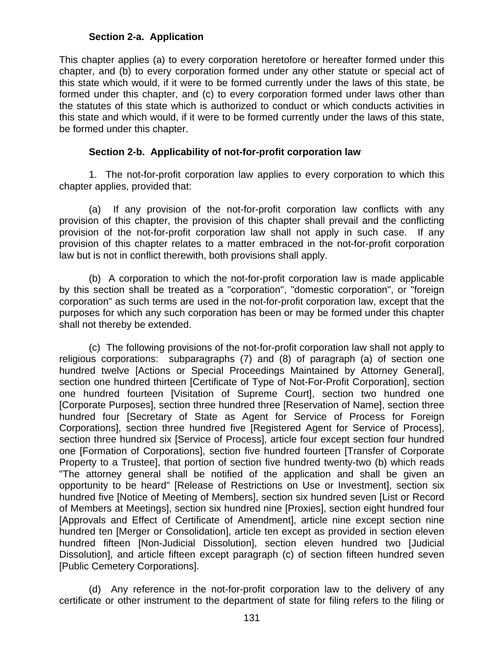### **Section 2-a. Application**

This chapter applies (a) to every corporation heretofore or hereafter formed under this chapter, and (b) to every corporation formed under any other statute or special act of this state which would, if it were to be formed currently under the laws of this state, be formed under this chapter, and (c) to every corporation formed under laws other than the statutes of this state which is authorized to conduct or which conducts activities in this state and which would, if it were to be formed currently under the laws of this state, be formed under this chapter.

## **Section 2-b. Applicability of not-for-profit corporation law**

 1. The not-for-profit corporation law applies to every corporation to which this chapter applies, provided that:

 (a) If any provision of the not-for-profit corporation law conflicts with any provision of this chapter, the provision of this chapter shall prevail and the conflicting provision of the not-for-profit corporation law shall not apply in such case. If any provision of this chapter relates to a matter embraced in the not-for-profit corporation law but is not in conflict therewith, both provisions shall apply.

 (b) A corporation to which the not-for-profit corporation law is made applicable by this section shall be treated as a "corporation", "domestic corporation", or "foreign corporation" as such terms are used in the not-for-profit corporation law, except that the purposes for which any such corporation has been or may be formed under this chapter shall not thereby be extended.

 (c) The following provisions of the not-for-profit corporation law shall not apply to religious corporations: subparagraphs (7) and (8) of paragraph (a) of section one hundred twelve [Actions or Special Proceedings Maintained by Attorney General], section one hundred thirteen [Certificate of Type of Not-For-Profit Corporation], section one hundred fourteen [Visitation of Supreme Court], section two hundred one [Corporate Purposes], section three hundred three [Reservation of Name], section three hundred four [Secretary of State as Agent for Service of Process for Foreign Corporations], section three hundred five [Registered Agent for Service of Process], section three hundred six [Service of Process], article four except section four hundred one [Formation of Corporations], section five hundred fourteen [Transfer of Corporate Property to a Trustee], that portion of section five hundred twenty-two (b) which reads "The attorney general shall be notified of the application and shall be given an opportunity to be heard" [Release of Restrictions on Use or Investment], section six hundred five [Notice of Meeting of Members], section six hundred seven [List or Record of Members at Meetings], section six hundred nine [Proxies], section eight hundred four [Approvals and Effect of Certificate of Amendment], article nine except section nine hundred ten [Merger or Consolidation], article ten except as provided in section eleven hundred fifteen [Non-Judicial Dissolution], section eleven hundred two [Judicial Dissolution], and article fifteen except paragraph (c) of section fifteen hundred seven [Public Cemetery Corporations].

 (d) Any reference in the not-for-profit corporation law to the delivery of any certificate or other instrument to the department of state for filing refers to the filing or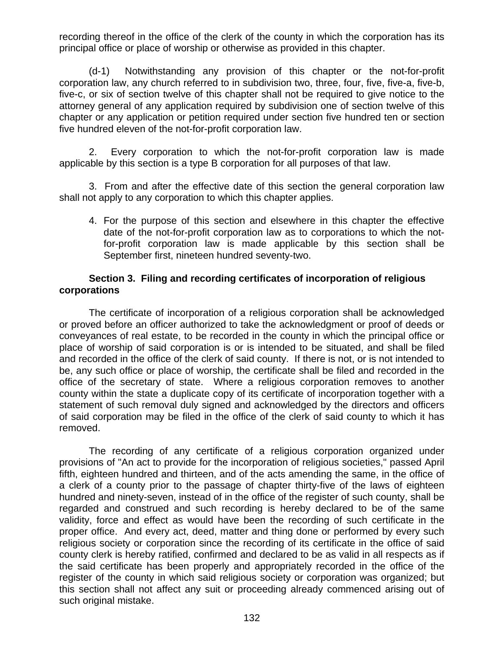recording thereof in the office of the clerk of the county in which the corporation has its principal office or place of worship or otherwise as provided in this chapter.

 (d-1) Notwithstanding any provision of this chapter or the not-for-profit corporation law, any church referred to in subdivision two, three, four, five, five-a, five-b, five-c, or six of section twelve of this chapter shall not be required to give notice to the attorney general of any application required by subdivision one of section twelve of this chapter or any application or petition required under section five hundred ten or section five hundred eleven of the not-for-profit corporation law.

 2. Every corporation to which the not-for-profit corporation law is made applicable by this section is a type B corporation for all purposes of that law.

 3. From and after the effective date of this section the general corporation law shall not apply to any corporation to which this chapter applies.

4. For the purpose of this section and elsewhere in this chapter the effective date of the not-for-profit corporation law as to corporations to which the notfor-profit corporation law is made applicable by this section shall be September first, nineteen hundred seventy-two.

# **Section 3. Filing and recording certificates of incorporation of religious corporations**

 The certificate of incorporation of a religious corporation shall be acknowledged or proved before an officer authorized to take the acknowledgment or proof of deeds or conveyances of real estate, to be recorded in the county in which the principal office or place of worship of said corporation is or is intended to be situated, and shall be filed and recorded in the office of the clerk of said county. If there is not, or is not intended to be, any such office or place of worship, the certificate shall be filed and recorded in the office of the secretary of state. Where a religious corporation removes to another county within the state a duplicate copy of its certificate of incorporation together with a statement of such removal duly signed and acknowledged by the directors and officers of said corporation may be filed in the office of the clerk of said county to which it has removed.

 The recording of any certificate of a religious corporation organized under provisions of "An act to provide for the incorporation of religious societies," passed April fifth, eighteen hundred and thirteen, and of the acts amending the same, in the office of a clerk of a county prior to the passage of chapter thirty-five of the laws of eighteen hundred and ninety-seven, instead of in the office of the register of such county, shall be regarded and construed and such recording is hereby declared to be of the same validity, force and effect as would have been the recording of such certificate in the proper office. And every act, deed, matter and thing done or performed by every such religious society or corporation since the recording of its certificate in the office of said county clerk is hereby ratified, confirmed and declared to be as valid in all respects as if the said certificate has been properly and appropriately recorded in the office of the register of the county in which said religious society or corporation was organized; but this section shall not affect any suit or proceeding already commenced arising out of such original mistake.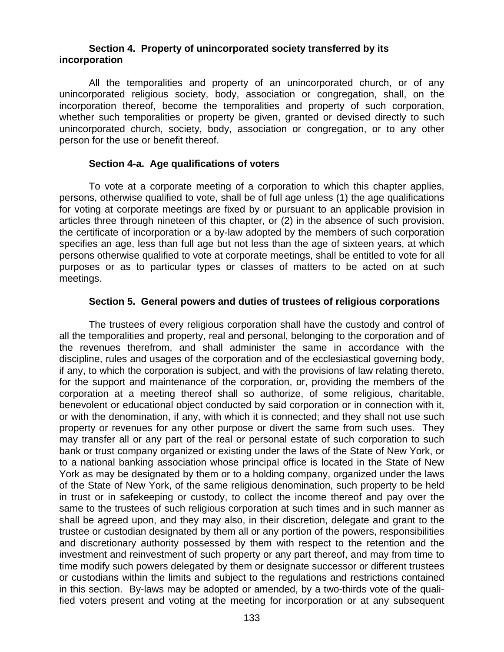## **Section 4. Property of unincorporated society transferred by its incorporation**

 All the temporalities and property of an unincorporated church, or of any unincorporated religious society, body, association or congregation, shall, on the incorporation thereof, become the temporalities and property of such corporation, whether such temporalities or property be given, granted or devised directly to such unincorporated church, society, body, association or congregation, or to any other person for the use or benefit thereof.

#### **Section 4-a. Age qualifications of voters**

 To vote at a corporate meeting of a corporation to which this chapter applies, persons, otherwise qualified to vote, shall be of full age unless (1) the age qualifications for voting at corporate meetings are fixed by or pursuant to an applicable provision in articles three through nineteen of this chapter, or (2) in the absence of such provision, the certificate of incorporation or a by-law adopted by the members of such corporation specifies an age, less than full age but not less than the age of sixteen years, at which persons otherwise qualified to vote at corporate meetings, shall be entitled to vote for all purposes or as to particular types or classes of matters to be acted on at such meetings.

### **Section 5. General powers and duties of trustees of religious corporations**

 The trustees of every religious corporation shall have the custody and control of all the temporalities and property, real and personal, belonging to the corporation and of the revenues therefrom, and shall administer the same in accordance with the discipline, rules and usages of the corporation and of the ecclesiastical governing body, if any, to which the corporation is subject, and with the provisions of law relating thereto, for the support and maintenance of the corporation, or, providing the members of the corporation at a meeting thereof shall so authorize, of some religious, charitable, benevolent or educational object conducted by said corporation or in connection with it, or with the denomination, if any, with which it is connected; and they shall not use such property or revenues for any other purpose or divert the same from such uses. They may transfer all or any part of the real or personal estate of such corporation to such bank or trust company organized or existing under the laws of the State of New York, or to a national banking association whose principal office is located in the State of New York as may be designated by them or to a holding company, organized under the laws of the State of New York, of the same religious denomination, such property to be held in trust or in safekeeping or custody, to collect the income thereof and pay over the same to the trustees of such religious corporation at such times and in such manner as shall be agreed upon, and they may also, in their discretion, delegate and grant to the trustee or custodian designated by them all or any portion of the powers, responsibilities and discretionary authority possessed by them with respect to the retention and the investment and reinvestment of such property or any part thereof, and may from time to time modify such powers delegated by them or designate successor or different trustees or custodians within the limits and subject to the regulations and restrictions contained in this section. By-laws may be adopted or amended, by a two-thirds vote of the qualified voters present and voting at the meeting for incorporation or at any subsequent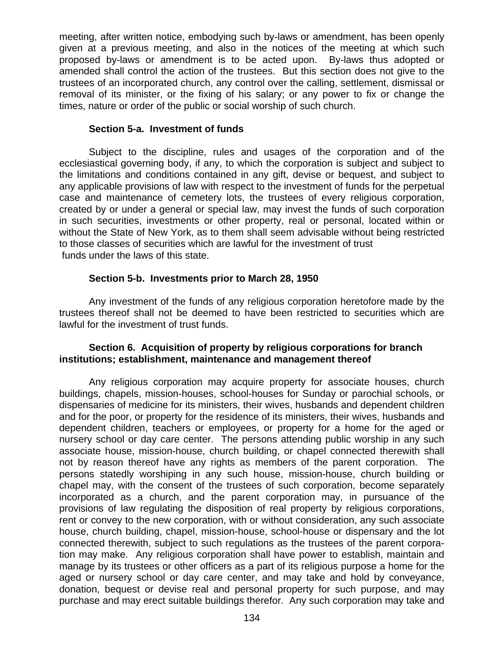meeting, after written notice, embodying such by-laws or amendment, has been openly given at a previous meeting, and also in the notices of the meeting at which such proposed by-laws or amendment is to be acted upon. By-laws thus adopted or amended shall control the action of the trustees. But this section does not give to the trustees of an incorporated church, any control over the calling, settlement, dismissal or removal of its minister, or the fixing of his salary; or any power to fix or change the times, nature or order of the public or social worship of such church.

#### **Section 5-a. Investment of funds**

 Subject to the discipline, rules and usages of the corporation and of the ecclesiastical governing body, if any, to which the corporation is subject and subject to the limitations and conditions contained in any gift, devise or bequest, and subject to any applicable provisions of law with respect to the investment of funds for the perpetual case and maintenance of cemetery lots, the trustees of every religious corporation, created by or under a general or special law, may invest the funds of such corporation in such securities, investments or other property, real or personal, located within or without the State of New York, as to them shall seem advisable without being restricted to those classes of securities which are lawful for the investment of trust funds under the laws of this state.

#### **Section 5-b. Investments prior to March 28, 1950**

 Any investment of the funds of any religious corporation heretofore made by the trustees thereof shall not be deemed to have been restricted to securities which are lawful for the investment of trust funds.

#### **Section 6. Acquisition of property by religious corporations for branch institutions; establishment, maintenance and management thereof**

 Any religious corporation may acquire property for associate houses, church buildings, chapels, mission-houses, school-houses for Sunday or parochial schools, or dispensaries of medicine for its ministers, their wives, husbands and dependent children and for the poor, or property for the residence of its ministers, their wives, husbands and dependent children, teachers or employees, or property for a home for the aged or nursery school or day care center. The persons attending public worship in any such associate house, mission-house, church building, or chapel connected therewith shall not by reason thereof have any rights as members of the parent corporation. The persons statedly worshiping in any such house, mission-house, church building or chapel may, with the consent of the trustees of such corporation, become separately incorporated as a church, and the parent corporation may, in pursuance of the provisions of law regulating the disposition of real property by religious corporations, rent or convey to the new corporation, with or without consideration, any such associate house, church building, chapel, mission-house, school-house or dispensary and the lot connected therewith, subject to such regulations as the trustees of the parent corporation may make. Any religious corporation shall have power to establish, maintain and manage by its trustees or other officers as a part of its religious purpose a home for the aged or nursery school or day care center, and may take and hold by conveyance, donation, bequest or devise real and personal property for such purpose, and may purchase and may erect suitable buildings therefor. Any such corporation may take and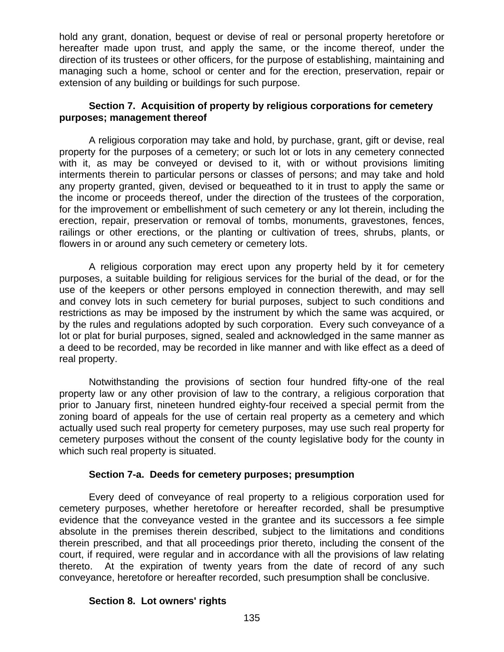hold any grant, donation, bequest or devise of real or personal property heretofore or hereafter made upon trust, and apply the same, or the income thereof, under the direction of its trustees or other officers, for the purpose of establishing, maintaining and managing such a home, school or center and for the erection, preservation, repair or extension of any building or buildings for such purpose.

### **Section 7. Acquisition of property by religious corporations for cemetery purposes; management thereof**

 A religious corporation may take and hold, by purchase, grant, gift or devise, real property for the purposes of a cemetery; or such lot or lots in any cemetery connected with it, as may be conveyed or devised to it, with or without provisions limiting interments therein to particular persons or classes of persons; and may take and hold any property granted, given, devised or bequeathed to it in trust to apply the same or the income or proceeds thereof, under the direction of the trustees of the corporation, for the improvement or embellishment of such cemetery or any lot therein, including the erection, repair, preservation or removal of tombs, monuments, gravestones, fences, railings or other erections, or the planting or cultivation of trees, shrubs, plants, or flowers in or around any such cemetery or cemetery lots.

 A religious corporation may erect upon any property held by it for cemetery purposes, a suitable building for religious services for the burial of the dead, or for the use of the keepers or other persons employed in connection therewith, and may sell and convey lots in such cemetery for burial purposes, subject to such conditions and restrictions as may be imposed by the instrument by which the same was acquired, or by the rules and regulations adopted by such corporation. Every such conveyance of a lot or plat for burial purposes, signed, sealed and acknowledged in the same manner as a deed to be recorded, may be recorded in like manner and with like effect as a deed of real property.

 Notwithstanding the provisions of section four hundred fifty-one of the real property law or any other provision of law to the contrary, a religious corporation that prior to January first, nineteen hundred eighty-four received a special permit from the zoning board of appeals for the use of certain real property as a cemetery and which actually used such real property for cemetery purposes, may use such real property for cemetery purposes without the consent of the county legislative body for the county in which such real property is situated.

### **Section 7-a. Deeds for cemetery purposes; presumption**

 Every deed of conveyance of real property to a religious corporation used for cemetery purposes, whether heretofore or hereafter recorded, shall be presumptive evidence that the conveyance vested in the grantee and its successors a fee simple absolute in the premises therein described, subject to the limitations and conditions therein prescribed, and that all proceedings prior thereto, including the consent of the court, if required, were regular and in accordance with all the provisions of law relating thereto. At the expiration of twenty years from the date of record of any such conveyance, heretofore or hereafter recorded, such presumption shall be conclusive.

### **Section 8. Lot owners' rights**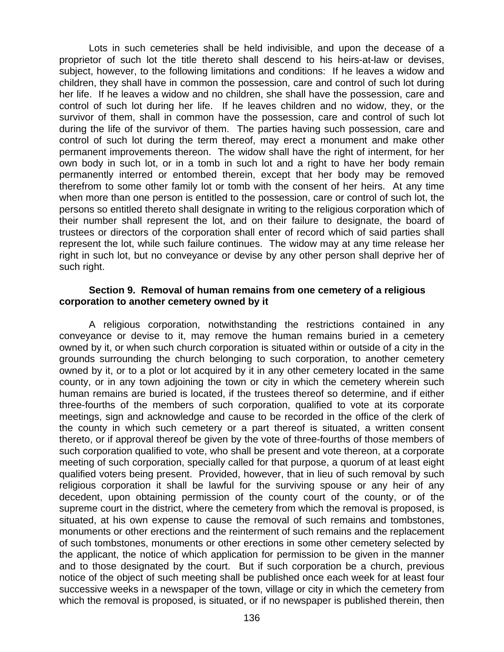Lots in such cemeteries shall be held indivisible, and upon the decease of a proprietor of such lot the title thereto shall descend to his heirs-at-law or devises, subject, however, to the following limitations and conditions: If he leaves a widow and children, they shall have in common the possession, care and control of such lot during her life. If he leaves a widow and no children, she shall have the possession, care and control of such lot during her life. If he leaves children and no widow, they, or the survivor of them, shall in common have the possession, care and control of such lot during the life of the survivor of them. The parties having such possession, care and control of such lot during the term thereof, may erect a monument and make other permanent improvements thereon. The widow shall have the right of interment, for her own body in such lot, or in a tomb in such lot and a right to have her body remain permanently interred or entombed therein, except that her body may be removed therefrom to some other family lot or tomb with the consent of her heirs. At any time when more than one person is entitled to the possession, care or control of such lot, the persons so entitled thereto shall designate in writing to the religious corporation which of their number shall represent the lot, and on their failure to designate, the board of trustees or directors of the corporation shall enter of record which of said parties shall represent the lot, while such failure continues. The widow may at any time release her right in such lot, but no conveyance or devise by any other person shall deprive her of such right.

#### **Section 9. Removal of human remains from one cemetery of a religious corporation to another cemetery owned by it**

 A religious corporation, notwithstanding the restrictions contained in any conveyance or devise to it, may remove the human remains buried in a cemetery owned by it, or when such church corporation is situated within or outside of a city in the grounds surrounding the church belonging to such corporation, to another cemetery owned by it, or to a plot or lot acquired by it in any other cemetery located in the same county, or in any town adjoining the town or city in which the cemetery wherein such human remains are buried is located, if the trustees thereof so determine, and if either three-fourths of the members of such corporation, qualified to vote at its corporate meetings, sign and acknowledge and cause to be recorded in the office of the clerk of the county in which such cemetery or a part thereof is situated, a written consent thereto, or if approval thereof be given by the vote of three-fourths of those members of such corporation qualified to vote, who shall be present and vote thereon, at a corporate meeting of such corporation, specially called for that purpose, a quorum of at least eight qualified voters being present. Provided, however, that in lieu of such removal by such religious corporation it shall be lawful for the surviving spouse or any heir of any decedent, upon obtaining permission of the county court of the county, or of the supreme court in the district, where the cemetery from which the removal is proposed, is situated, at his own expense to cause the removal of such remains and tombstones, monuments or other erections and the reinterment of such remains and the replacement of such tombstones, monuments or other erections in some other cemetery selected by the applicant, the notice of which application for permission to be given in the manner and to those designated by the court. But if such corporation be a church, previous notice of the object of such meeting shall be published once each week for at least four successive weeks in a newspaper of the town, village or city in which the cemetery from which the removal is proposed, is situated, or if no newspaper is published therein, then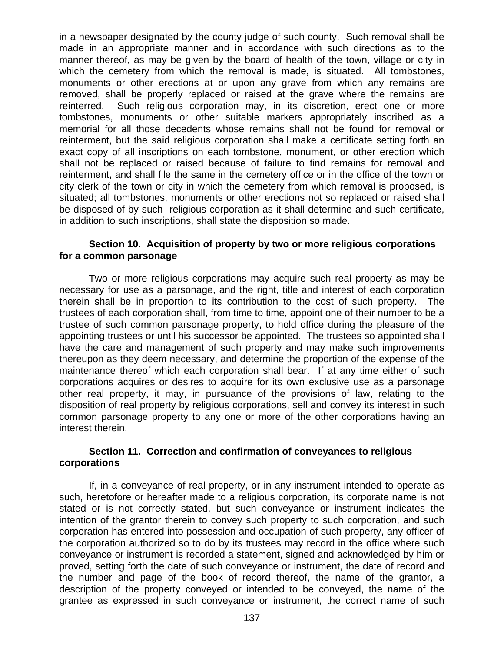in a newspaper designated by the county judge of such county. Such removal shall be made in an appropriate manner and in accordance with such directions as to the manner thereof, as may be given by the board of health of the town, village or city in which the cemetery from which the removal is made, is situated. All tombstones, monuments or other erections at or upon any grave from which any remains are removed, shall be properly replaced or raised at the grave where the remains are reinterred. Such religious corporation may, in its discretion, erect one or more tombstones, monuments or other suitable markers appropriately inscribed as a memorial for all those decedents whose remains shall not be found for removal or reinterment, but the said religious corporation shall make a certificate setting forth an exact copy of all inscriptions on each tombstone, monument, or other erection which shall not be replaced or raised because of failure to find remains for removal and reinterment, and shall file the same in the cemetery office or in the office of the town or city clerk of the town or city in which the cemetery from which removal is proposed, is situated; all tombstones, monuments or other erections not so replaced or raised shall be disposed of by such religious corporation as it shall determine and such certificate, in addition to such inscriptions, shall state the disposition so made.

### **Section 10. Acquisition of property by two or more religious corporations for a common parsonage**

 Two or more religious corporations may acquire such real property as may be necessary for use as a parsonage, and the right, title and interest of each corporation therein shall be in proportion to its contribution to the cost of such property. The trustees of each corporation shall, from time to time, appoint one of their number to be a trustee of such common parsonage property, to hold office during the pleasure of the appointing trustees or until his successor be appointed. The trustees so appointed shall have the care and management of such property and may make such improvements thereupon as they deem necessary, and determine the proportion of the expense of the maintenance thereof which each corporation shall bear. If at any time either of such corporations acquires or desires to acquire for its own exclusive use as a parsonage other real property, it may, in pursuance of the provisions of law, relating to the disposition of real property by religious corporations, sell and convey its interest in such common parsonage property to any one or more of the other corporations having an interest therein.

### **Section 11. Correction and confirmation of conveyances to religious corporations**

 If, in a conveyance of real property, or in any instrument intended to operate as such, heretofore or hereafter made to a religious corporation, its corporate name is not stated or is not correctly stated, but such conveyance or instrument indicates the intention of the grantor therein to convey such property to such corporation, and such corporation has entered into possession and occupation of such property, any officer of the corporation authorized so to do by its trustees may record in the office where such conveyance or instrument is recorded a statement, signed and acknowledged by him or proved, setting forth the date of such conveyance or instrument, the date of record and the number and page of the book of record thereof, the name of the grantor, a description of the property conveyed or intended to be conveyed, the name of the grantee as expressed in such conveyance or instrument, the correct name of such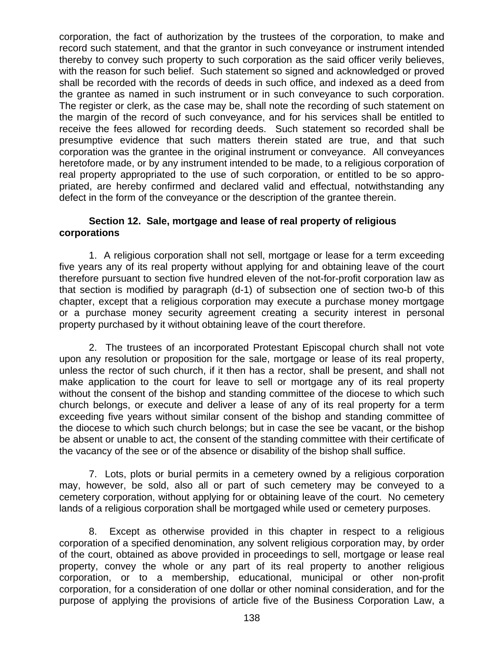corporation, the fact of authorization by the trustees of the corporation, to make and record such statement, and that the grantor in such conveyance or instrument intended thereby to convey such property to such corporation as the said officer verily believes, with the reason for such belief. Such statement so signed and acknowledged or proved shall be recorded with the records of deeds in such office, and indexed as a deed from the grantee as named in such instrument or in such conveyance to such corporation. The register or clerk, as the case may be, shall note the recording of such statement on the margin of the record of such conveyance, and for his services shall be entitled to receive the fees allowed for recording deeds. Such statement so recorded shall be presumptive evidence that such matters therein stated are true, and that such corporation was the grantee in the original instrument or conveyance. All conveyances heretofore made, or by any instrument intended to be made, to a religious corporation of real property appropriated to the use of such corporation, or entitled to be so appropriated, are hereby confirmed and declared valid and effectual, notwithstanding any defect in the form of the conveyance or the description of the grantee therein.

### **Section 12. Sale, mortgage and lease of real property of religious corporations**

 1. A religious corporation shall not sell, mortgage or lease for a term exceeding five years any of its real property without applying for and obtaining leave of the court therefore pursuant to section five hundred eleven of the not-for-profit corporation law as that section is modified by paragraph (d-1) of subsection one of section two-b of this chapter, except that a religious corporation may execute a purchase money mortgage or a purchase money security agreement creating a security interest in personal property purchased by it without obtaining leave of the court therefore.

 2. The trustees of an incorporated Protestant Episcopal church shall not vote upon any resolution or proposition for the sale, mortgage or lease of its real property, unless the rector of such church, if it then has a rector, shall be present, and shall not make application to the court for leave to sell or mortgage any of its real property without the consent of the bishop and standing committee of the diocese to which such church belongs, or execute and deliver a lease of any of its real property for a term exceeding five years without similar consent of the bishop and standing committee of the diocese to which such church belongs; but in case the see be vacant, or the bishop be absent or unable to act, the consent of the standing committee with their certificate of the vacancy of the see or of the absence or disability of the bishop shall suffice.

 7. Lots, plots or burial permits in a cemetery owned by a religious corporation may, however, be sold, also all or part of such cemetery may be conveyed to a cemetery corporation, without applying for or obtaining leave of the court. No cemetery lands of a religious corporation shall be mortgaged while used or cemetery purposes.

 8. Except as otherwise provided in this chapter in respect to a religious corporation of a specified denomination, any solvent religious corporation may, by order of the court, obtained as above provided in proceedings to sell, mortgage or lease real property, convey the whole or any part of its real property to another religious corporation, or to a membership, educational, municipal or other non-profit corporation, for a consideration of one dollar or other nominal consideration, and for the purpose of applying the provisions of article five of the Business Corporation Law, a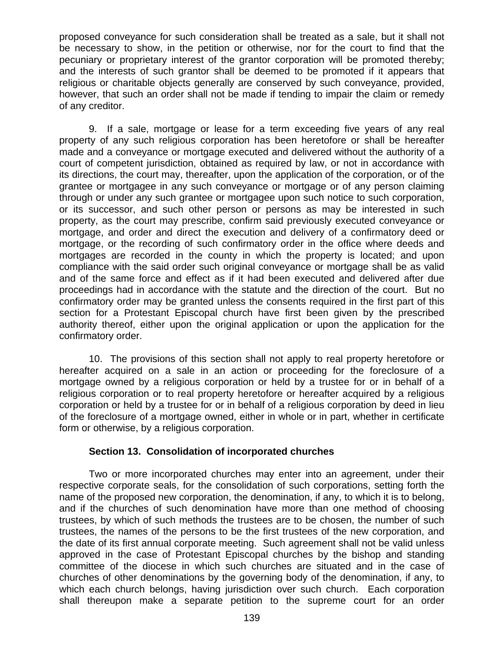proposed conveyance for such consideration shall be treated as a sale, but it shall not be necessary to show, in the petition or otherwise, nor for the court to find that the pecuniary or proprietary interest of the grantor corporation will be promoted thereby; and the interests of such grantor shall be deemed to be promoted if it appears that religious or charitable objects generally are conserved by such conveyance, provided, however, that such an order shall not be made if tending to impair the claim or remedy of any creditor.

 9. If a sale, mortgage or lease for a term exceeding five years of any real property of any such religious corporation has been heretofore or shall be hereafter made and a conveyance or mortgage executed and delivered without the authority of a court of competent jurisdiction, obtained as required by law, or not in accordance with its directions, the court may, thereafter, upon the application of the corporation, or of the grantee or mortgagee in any such conveyance or mortgage or of any person claiming through or under any such grantee or mortgagee upon such notice to such corporation, or its successor, and such other person or persons as may be interested in such property, as the court may prescribe, confirm said previously executed conveyance or mortgage, and order and direct the execution and delivery of a confirmatory deed or mortgage, or the recording of such confirmatory order in the office where deeds and mortgages are recorded in the county in which the property is located; and upon compliance with the said order such original conveyance or mortgage shall be as valid and of the same force and effect as if it had been executed and delivered after due proceedings had in accordance with the statute and the direction of the court. But no confirmatory order may be granted unless the consents required in the first part of this section for a Protestant Episcopal church have first been given by the prescribed authority thereof, either upon the original application or upon the application for the confirmatory order.

 10. The provisions of this section shall not apply to real property heretofore or hereafter acquired on a sale in an action or proceeding for the foreclosure of a mortgage owned by a religious corporation or held by a trustee for or in behalf of a religious corporation or to real property heretofore or hereafter acquired by a religious corporation or held by a trustee for or in behalf of a religious corporation by deed in lieu of the foreclosure of a mortgage owned, either in whole or in part, whether in certificate form or otherwise, by a religious corporation.

### **Section 13. Consolidation of incorporated churches**

 Two or more incorporated churches may enter into an agreement, under their respective corporate seals, for the consolidation of such corporations, setting forth the name of the proposed new corporation, the denomination, if any, to which it is to belong, and if the churches of such denomination have more than one method of choosing trustees, by which of such methods the trustees are to be chosen, the number of such trustees, the names of the persons to be the first trustees of the new corporation, and the date of its first annual corporate meeting. Such agreement shall not be valid unless approved in the case of Protestant Episcopal churches by the bishop and standing committee of the diocese in which such churches are situated and in the case of churches of other denominations by the governing body of the denomination, if any, to which each church belongs, having jurisdiction over such church. Each corporation shall thereupon make a separate petition to the supreme court for an order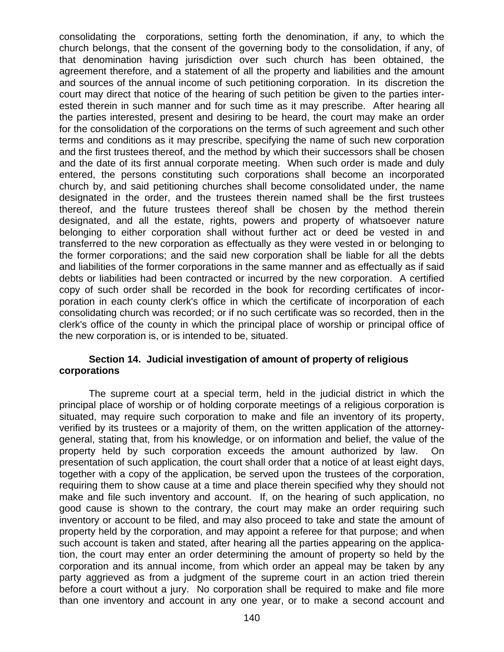consolidating the corporations, setting forth the denomination, if any, to which the church belongs, that the consent of the governing body to the consolidation, if any, of that denomination having jurisdiction over such church has been obtained, the agreement therefore, and a statement of all the property and liabilities and the amount and sources of the annual income of such petitioning corporation. In its discretion the court may direct that notice of the hearing of such petition be given to the parties interested therein in such manner and for such time as it may prescribe. After hearing all the parties interested, present and desiring to be heard, the court may make an order for the consolidation of the corporations on the terms of such agreement and such other terms and conditions as it may prescribe, specifying the name of such new corporation and the first trustees thereof, and the method by which their successors shall be chosen and the date of its first annual corporate meeting. When such order is made and duly entered, the persons constituting such corporations shall become an incorporated church by, and said petitioning churches shall become consolidated under, the name designated in the order, and the trustees therein named shall be the first trustees thereof, and the future trustees thereof shall be chosen by the method therein designated, and all the estate, rights, powers and property of whatsoever nature belonging to either corporation shall without further act or deed be vested in and transferred to the new corporation as effectually as they were vested in or belonging to the former corporations; and the said new corporation shall be liable for all the debts and liabilities of the former corporations in the same manner and as effectually as if said debts or liabilities had been contracted or incurred by the new corporation. A certified copy of such order shall be recorded in the book for recording certificates of incorporation in each county clerk's office in which the certificate of incorporation of each consolidating church was recorded; or if no such certificate was so recorded, then in the clerk's office of the county in which the principal place of worship or principal office of the new corporation is, or is intended to be, situated.

### **Section 14. Judicial investigation of amount of property of religious corporations**

 The supreme court at a special term, held in the judicial district in which the principal place of worship or of holding corporate meetings of a religious corporation is situated, may require such corporation to make and file an inventory of its property, verified by its trustees or a majority of them, on the written application of the attorneygeneral, stating that, from his knowledge, or on information and belief, the value of the property held by such corporation exceeds the amount authorized by law. On presentation of such application, the court shall order that a notice of at least eight days, together with a copy of the application, be served upon the trustees of the corporation, requiring them to show cause at a time and place therein specified why they should not make and file such inventory and account. If, on the hearing of such application, no good cause is shown to the contrary, the court may make an order requiring such inventory or account to be filed, and may also proceed to take and state the amount of property held by the corporation, and may appoint a referee for that purpose; and when such account is taken and stated, after hearing all the parties appearing on the application, the court may enter an order determining the amount of property so held by the corporation and its annual income, from which order an appeal may be taken by any party aggrieved as from a judgment of the supreme court in an action tried therein before a court without a jury. No corporation shall be required to make and file more than one inventory and account in any one year, or to make a second account and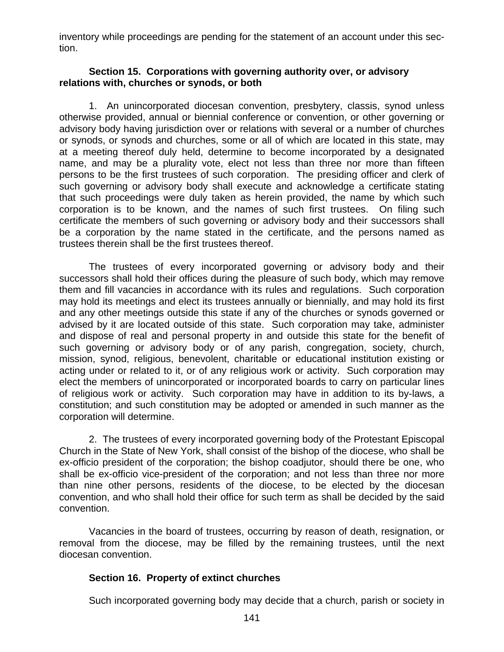inventory while proceedings are pending for the statement of an account under this section.

#### **Section 15. Corporations with governing authority over, or advisory relations with, churches or synods, or both**

 1. An unincorporated diocesan convention, presbytery, classis, synod unless otherwise provided, annual or biennial conference or convention, or other governing or advisory body having jurisdiction over or relations with several or a number of churches or synods, or synods and churches, some or all of which are located in this state, may at a meeting thereof duly held, determine to become incorporated by a designated name, and may be a plurality vote, elect not less than three nor more than fifteen persons to be the first trustees of such corporation. The presiding officer and clerk of such governing or advisory body shall execute and acknowledge a certificate stating that such proceedings were duly taken as herein provided, the name by which such corporation is to be known, and the names of such first trustees. On filing such certificate the members of such governing or advisory body and their successors shall be a corporation by the name stated in the certificate, and the persons named as trustees therein shall be the first trustees thereof.

 The trustees of every incorporated governing or advisory body and their successors shall hold their offices during the pleasure of such body, which may remove them and fill vacancies in accordance with its rules and regulations. Such corporation may hold its meetings and elect its trustees annually or biennially, and may hold its first and any other meetings outside this state if any of the churches or synods governed or advised by it are located outside of this state. Such corporation may take, administer and dispose of real and personal property in and outside this state for the benefit of such governing or advisory body or of any parish, congregation, society, church, mission, synod, religious, benevolent, charitable or educational institution existing or acting under or related to it, or of any religious work or activity. Such corporation may elect the members of unincorporated or incorporated boards to carry on particular lines of religious work or activity. Such corporation may have in addition to its by-laws, a constitution; and such constitution may be adopted or amended in such manner as the corporation will determine.

 2. The trustees of every incorporated governing body of the Protestant Episcopal Church in the State of New York, shall consist of the bishop of the diocese, who shall be ex-officio president of the corporation; the bishop coadjutor, should there be one, who shall be ex-officio vice-president of the corporation; and not less than three nor more than nine other persons, residents of the diocese, to be elected by the diocesan convention, and who shall hold their office for such term as shall be decided by the said convention.

 Vacancies in the board of trustees, occurring by reason of death, resignation, or removal from the diocese, may be filled by the remaining trustees, until the next diocesan convention.

### **Section 16. Property of extinct churches**

Such incorporated governing body may decide that a church, parish or society in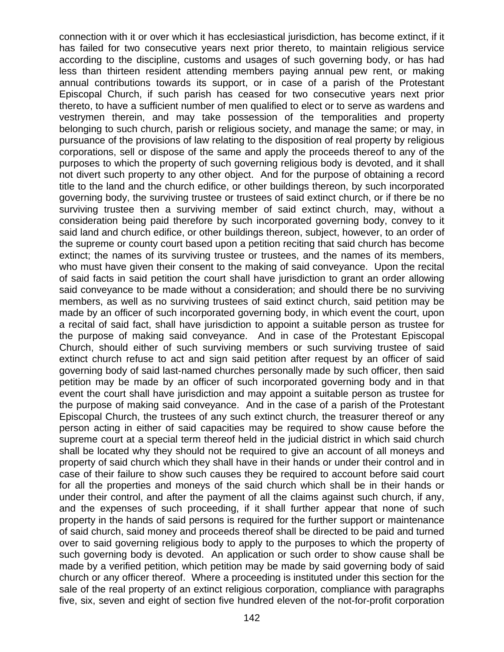connection with it or over which it has ecclesiastical jurisdiction, has become extinct, if it has failed for two consecutive years next prior thereto, to maintain religious service according to the discipline, customs and usages of such governing body, or has had less than thirteen resident attending members paying annual pew rent, or making annual contributions towards its support, or in case of a parish of the Protestant Episcopal Church, if such parish has ceased for two consecutive years next prior thereto, to have a sufficient number of men qualified to elect or to serve as wardens and vestrymen therein, and may take possession of the temporalities and property belonging to such church, parish or religious society, and manage the same; or may, in pursuance of the provisions of law relating to the disposition of real property by religious corporations, sell or dispose of the same and apply the proceeds thereof to any of the purposes to which the property of such governing religious body is devoted, and it shall not divert such property to any other object. And for the purpose of obtaining a record title to the land and the church edifice, or other buildings thereon, by such incorporated governing body, the surviving trustee or trustees of said extinct church, or if there be no surviving trustee then a surviving member of said extinct church, may, without a consideration being paid therefore by such incorporated governing body, convey to it said land and church edifice, or other buildings thereon, subject, however, to an order of the supreme or county court based upon a petition reciting that said church has become extinct; the names of its surviving trustee or trustees, and the names of its members, who must have given their consent to the making of said conveyance. Upon the recital of said facts in said petition the court shall have jurisdiction to grant an order allowing said conveyance to be made without a consideration; and should there be no surviving members, as well as no surviving trustees of said extinct church, said petition may be made by an officer of such incorporated governing body, in which event the court, upon a recital of said fact, shall have jurisdiction to appoint a suitable person as trustee for the purpose of making said conveyance. And in case of the Protestant Episcopal Church, should either of such surviving members or such surviving trustee of said extinct church refuse to act and sign said petition after request by an officer of said governing body of said last-named churches personally made by such officer, then said petition may be made by an officer of such incorporated governing body and in that event the court shall have jurisdiction and may appoint a suitable person as trustee for the purpose of making said conveyance. And in the case of a parish of the Protestant Episcopal Church, the trustees of any such extinct church, the treasurer thereof or any person acting in either of said capacities may be required to show cause before the supreme court at a special term thereof held in the judicial district in which said church shall be located why they should not be required to give an account of all moneys and property of said church which they shall have in their hands or under their control and in case of their failure to show such causes they be required to account before said court for all the properties and moneys of the said church which shall be in their hands or under their control, and after the payment of all the claims against such church, if any, and the expenses of such proceeding, if it shall further appear that none of such property in the hands of said persons is required for the further support or maintenance of said church, said money and proceeds thereof shall be directed to be paid and turned over to said governing religious body to apply to the purposes to which the property of such governing body is devoted. An application or such order to show cause shall be made by a verified petition, which petition may be made by said governing body of said church or any officer thereof. Where a proceeding is instituted under this section for the sale of the real property of an extinct religious corporation, compliance with paragraphs five, six, seven and eight of section five hundred eleven of the not-for-profit corporation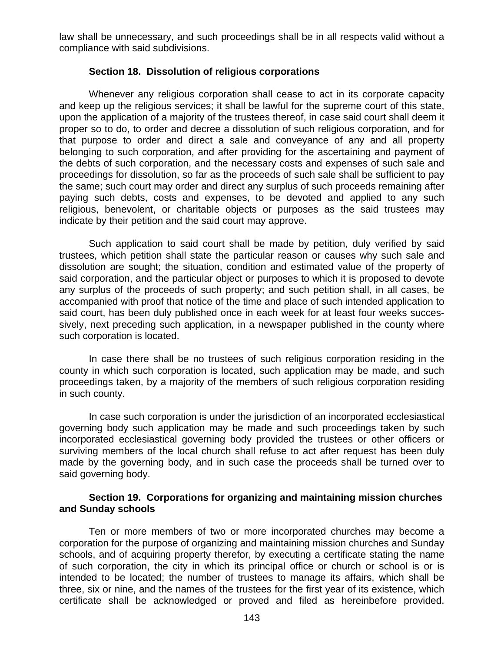law shall be unnecessary, and such proceedings shall be in all respects valid without a compliance with said subdivisions.

### **Section 18. Dissolution of religious corporations**

 Whenever any religious corporation shall cease to act in its corporate capacity and keep up the religious services; it shall be lawful for the supreme court of this state, upon the application of a majority of the trustees thereof, in case said court shall deem it proper so to do, to order and decree a dissolution of such religious corporation, and for that purpose to order and direct a sale and conveyance of any and all property belonging to such corporation, and after providing for the ascertaining and payment of the debts of such corporation, and the necessary costs and expenses of such sale and proceedings for dissolution, so far as the proceeds of such sale shall be sufficient to pay the same; such court may order and direct any surplus of such proceeds remaining after paying such debts, costs and expenses, to be devoted and applied to any such religious, benevolent, or charitable objects or purposes as the said trustees may indicate by their petition and the said court may approve.

 Such application to said court shall be made by petition, duly verified by said trustees, which petition shall state the particular reason or causes why such sale and dissolution are sought; the situation, condition and estimated value of the property of said corporation, and the particular object or purposes to which it is proposed to devote any surplus of the proceeds of such property; and such petition shall, in all cases, be accompanied with proof that notice of the time and place of such intended application to said court, has been duly published once in each week for at least four weeks successively, next preceding such application, in a newspaper published in the county where such corporation is located.

 In case there shall be no trustees of such religious corporation residing in the county in which such corporation is located, such application may be made, and such proceedings taken, by a majority of the members of such religious corporation residing in such county.

 In case such corporation is under the jurisdiction of an incorporated ecclesiastical governing body such application may be made and such proceedings taken by such incorporated ecclesiastical governing body provided the trustees or other officers or surviving members of the local church shall refuse to act after request has been duly made by the governing body, and in such case the proceeds shall be turned over to said governing body.

#### **Section 19. Corporations for organizing and maintaining mission churches and Sunday schools**

 Ten or more members of two or more incorporated churches may become a corporation for the purpose of organizing and maintaining mission churches and Sunday schools, and of acquiring property therefor, by executing a certificate stating the name of such corporation, the city in which its principal office or church or school is or is intended to be located; the number of trustees to manage its affairs, which shall be three, six or nine, and the names of the trustees for the first year of its existence, which certificate shall be acknowledged or proved and filed as hereinbefore provided.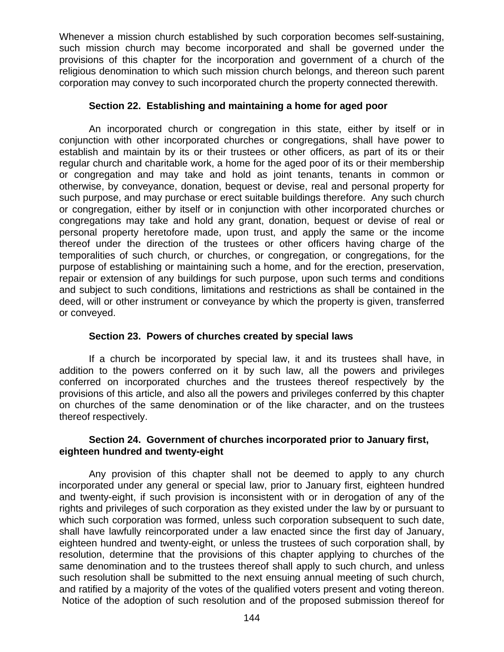Whenever a mission church established by such corporation becomes self-sustaining, such mission church may become incorporated and shall be governed under the provisions of this chapter for the incorporation and government of a church of the religious denomination to which such mission church belongs, and thereon such parent corporation may convey to such incorporated church the property connected therewith.

#### **Section 22. Establishing and maintaining a home for aged poor**

 An incorporated church or congregation in this state, either by itself or in conjunction with other incorporated churches or congregations, shall have power to establish and maintain by its or their trustees or other officers, as part of its or their regular church and charitable work, a home for the aged poor of its or their membership or congregation and may take and hold as joint tenants, tenants in common or otherwise, by conveyance, donation, bequest or devise, real and personal property for such purpose, and may purchase or erect suitable buildings therefore. Any such church or congregation, either by itself or in conjunction with other incorporated churches or congregations may take and hold any grant, donation, bequest or devise of real or personal property heretofore made, upon trust, and apply the same or the income thereof under the direction of the trustees or other officers having charge of the temporalities of such church, or churches, or congregation, or congregations, for the purpose of establishing or maintaining such a home, and for the erection, preservation, repair or extension of any buildings for such purpose, upon such terms and conditions and subject to such conditions, limitations and restrictions as shall be contained in the deed, will or other instrument or conveyance by which the property is given, transferred or conveyed.

### **Section 23. Powers of churches created by special laws**

 If a church be incorporated by special law, it and its trustees shall have, in addition to the powers conferred on it by such law, all the powers and privileges conferred on incorporated churches and the trustees thereof respectively by the provisions of this article, and also all the powers and privileges conferred by this chapter on churches of the same denomination or of the like character, and on the trustees thereof respectively.

### **Section 24. Government of churches incorporated prior to January first, eighteen hundred and twenty-eight**

 Any provision of this chapter shall not be deemed to apply to any church incorporated under any general or special law, prior to January first, eighteen hundred and twenty-eight, if such provision is inconsistent with or in derogation of any of the rights and privileges of such corporation as they existed under the law by or pursuant to which such corporation was formed, unless such corporation subsequent to such date, shall have lawfully reincorporated under a law enacted since the first day of January, eighteen hundred and twenty-eight, or unless the trustees of such corporation shall, by resolution, determine that the provisions of this chapter applying to churches of the same denomination and to the trustees thereof shall apply to such church, and unless such resolution shall be submitted to the next ensuing annual meeting of such church, and ratified by a majority of the votes of the qualified voters present and voting thereon. Notice of the adoption of such resolution and of the proposed submission thereof for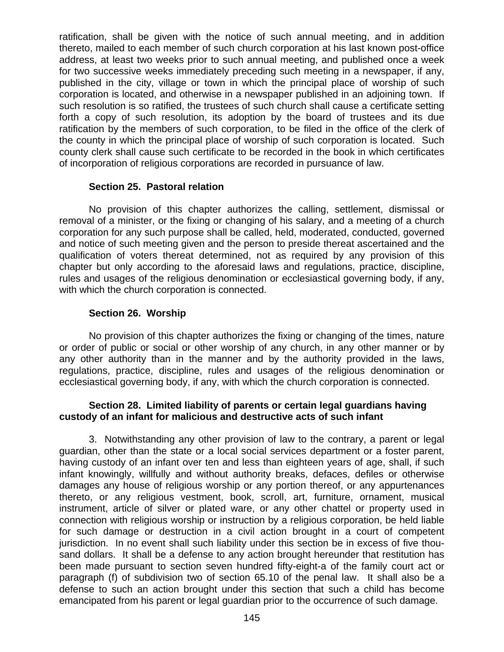ratification, shall be given with the notice of such annual meeting, and in addition thereto, mailed to each member of such church corporation at his last known post-office address, at least two weeks prior to such annual meeting, and published once a week for two successive weeks immediately preceding such meeting in a newspaper, if any, published in the city, village or town in which the principal place of worship of such corporation is located, and otherwise in a newspaper published in an adjoining town. If such resolution is so ratified, the trustees of such church shall cause a certificate setting forth a copy of such resolution, its adoption by the board of trustees and its due ratification by the members of such corporation, to be filed in the office of the clerk of the county in which the principal place of worship of such corporation is located. Such county clerk shall cause such certificate to be recorded in the book in which certificates of incorporation of religious corporations are recorded in pursuance of law.

# **Section 25. Pastoral relation**

 No provision of this chapter authorizes the calling, settlement, dismissal or removal of a minister, or the fixing or changing of his salary, and a meeting of a church corporation for any such purpose shall be called, held, moderated, conducted, governed and notice of such meeting given and the person to preside thereat ascertained and the qualification of voters thereat determined, not as required by any provision of this chapter but only according to the aforesaid laws and regulations, practice, discipline, rules and usages of the religious denomination or ecclesiastical governing body, if any, with which the church corporation is connected.

# **Section 26. Worship**

 No provision of this chapter authorizes the fixing or changing of the times, nature or order of public or social or other worship of any church, in any other manner or by any other authority than in the manner and by the authority provided in the laws, regulations, practice, discipline, rules and usages of the religious denomination or ecclesiastical governing body, if any, with which the church corporation is connected.

# **Section 28. Limited liability of parents or certain legal guardians having custody of an infant for malicious and destructive acts of such infant**

 3. Notwithstanding any other provision of law to the contrary, a parent or legal guardian, other than the state or a local social services department or a foster parent, having custody of an infant over ten and less than eighteen years of age, shall, if such infant knowingly, willfully and without authority breaks, defaces, defiles or otherwise damages any house of religious worship or any portion thereof, or any appurtenances thereto, or any religious vestment, book, scroll, art, furniture, ornament, musical instrument, article of silver or plated ware, or any other chattel or property used in connection with religious worship or instruction by a religious corporation, be held liable for such damage or destruction in a civil action brought in a court of competent jurisdiction. In no event shall such liability under this section be in excess of five thousand dollars. It shall be a defense to any action brought hereunder that restitution has been made pursuant to section seven hundred fifty-eight-a of the family court act or paragraph (f) of subdivision two of section 65.10 of the penal law. It shall also be a defense to such an action brought under this section that such a child has become emancipated from his parent or legal guardian prior to the occurrence of such damage.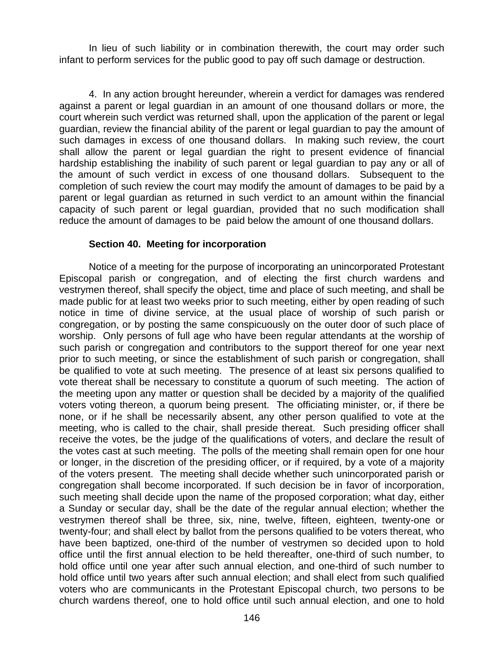In lieu of such liability or in combination therewith, the court may order such infant to perform services for the public good to pay off such damage or destruction.

 4. In any action brought hereunder, wherein a verdict for damages was rendered against a parent or legal guardian in an amount of one thousand dollars or more, the court wherein such verdict was returned shall, upon the application of the parent or legal guardian, review the financial ability of the parent or legal guardian to pay the amount of such damages in excess of one thousand dollars. In making such review, the court shall allow the parent or legal guardian the right to present evidence of financial hardship establishing the inability of such parent or legal guardian to pay any or all of the amount of such verdict in excess of one thousand dollars. Subsequent to the completion of such review the court may modify the amount of damages to be paid by a parent or legal guardian as returned in such verdict to an amount within the financial capacity of such parent or legal guardian, provided that no such modification shall reduce the amount of damages to be paid below the amount of one thousand dollars.

#### **Section 40. Meeting for incorporation**

 Notice of a meeting for the purpose of incorporating an unincorporated Protestant Episcopal parish or congregation, and of electing the first church wardens and vestrymen thereof, shall specify the object, time and place of such meeting, and shall be made public for at least two weeks prior to such meeting, either by open reading of such notice in time of divine service, at the usual place of worship of such parish or congregation, or by posting the same conspicuously on the outer door of such place of worship. Only persons of full age who have been regular attendants at the worship of such parish or congregation and contributors to the support thereof for one year next prior to such meeting, or since the establishment of such parish or congregation, shall be qualified to vote at such meeting. The presence of at least six persons qualified to vote thereat shall be necessary to constitute a quorum of such meeting. The action of the meeting upon any matter or question shall be decided by a majority of the qualified voters voting thereon, a quorum being present. The officiating minister, or, if there be none, or if he shall be necessarily absent, any other person qualified to vote at the meeting, who is called to the chair, shall preside thereat. Such presiding officer shall receive the votes, be the judge of the qualifications of voters, and declare the result of the votes cast at such meeting. The polls of the meeting shall remain open for one hour or longer, in the discretion of the presiding officer, or if required, by a vote of a majority of the voters present. The meeting shall decide whether such unincorporated parish or congregation shall become incorporated. If such decision be in favor of incorporation, such meeting shall decide upon the name of the proposed corporation; what day, either a Sunday or secular day, shall be the date of the regular annual election; whether the vestrymen thereof shall be three, six, nine, twelve, fifteen, eighteen, twenty-one or twenty-four; and shall elect by ballot from the persons qualified to be voters thereat, who have been baptized, one-third of the number of vestrymen so decided upon to hold office until the first annual election to be held thereafter, one-third of such number, to hold office until one year after such annual election, and one-third of such number to hold office until two years after such annual election; and shall elect from such qualified voters who are communicants in the Protestant Episcopal church, two persons to be church wardens thereof, one to hold office until such annual election, and one to hold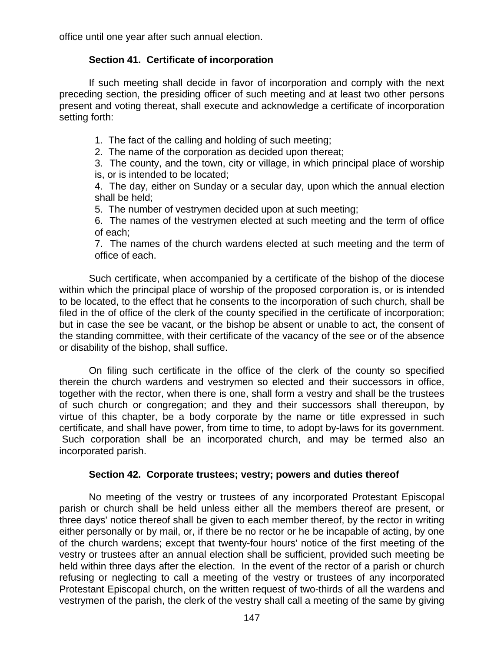office until one year after such annual election.

# **Section 41. Certificate of incorporation**

 If such meeting shall decide in favor of incorporation and comply with the next preceding section, the presiding officer of such meeting and at least two other persons present and voting thereat, shall execute and acknowledge a certificate of incorporation setting forth:

1. The fact of the calling and holding of such meeting;

2. The name of the corporation as decided upon thereat;

3. The county, and the town, city or village, in which principal place of worship is, or is intended to be located;

4. The day, either on Sunday or a secular day, upon which the annual election shall be held;

5. The number of vestrymen decided upon at such meeting;

6. The names of the vestrymen elected at such meeting and the term of office of each;

7. The names of the church wardens elected at such meeting and the term of office of each.

 Such certificate, when accompanied by a certificate of the bishop of the diocese within which the principal place of worship of the proposed corporation is, or is intended to be located, to the effect that he consents to the incorporation of such church, shall be filed in the of office of the clerk of the county specified in the certificate of incorporation; but in case the see be vacant, or the bishop be absent or unable to act, the consent of the standing committee, with their certificate of the vacancy of the see or of the absence or disability of the bishop, shall suffice.

 On filing such certificate in the office of the clerk of the county so specified therein the church wardens and vestrymen so elected and their successors in office, together with the rector, when there is one, shall form a vestry and shall be the trustees of such church or congregation; and they and their successors shall thereupon, by virtue of this chapter, be a body corporate by the name or title expressed in such certificate, and shall have power, from time to time, to adopt by-laws for its government. Such corporation shall be an incorporated church, and may be termed also an incorporated parish.

### **Section 42. Corporate trustees; vestry; powers and duties thereof**

 No meeting of the vestry or trustees of any incorporated Protestant Episcopal parish or church shall be held unless either all the members thereof are present, or three days' notice thereof shall be given to each member thereof, by the rector in writing either personally or by mail, or, if there be no rector or he be incapable of acting, by one of the church wardens; except that twenty-four hours' notice of the first meeting of the vestry or trustees after an annual election shall be sufficient, provided such meeting be held within three days after the election. In the event of the rector of a parish or church refusing or neglecting to call a meeting of the vestry or trustees of any incorporated Protestant Episcopal church, on the written request of two-thirds of all the wardens and vestrymen of the parish, the clerk of the vestry shall call a meeting of the same by giving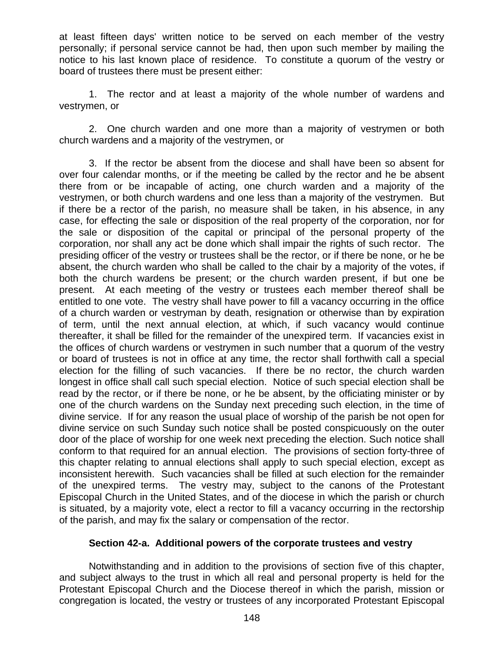at least fifteen days' written notice to be served on each member of the vestry personally; if personal service cannot be had, then upon such member by mailing the notice to his last known place of residence. To constitute a quorum of the vestry or board of trustees there must be present either:

 1. The rector and at least a majority of the whole number of wardens and vestrymen, or

 2. One church warden and one more than a majority of vestrymen or both church wardens and a majority of the vestrymen, or

 3. If the rector be absent from the diocese and shall have been so absent for over four calendar months, or if the meeting be called by the rector and he be absent there from or be incapable of acting, one church warden and a majority of the vestrymen, or both church wardens and one less than a majority of the vestrymen. But if there be a rector of the parish, no measure shall be taken, in his absence, in any case, for effecting the sale or disposition of the real property of the corporation, nor for the sale or disposition of the capital or principal of the personal property of the corporation, nor shall any act be done which shall impair the rights of such rector. The presiding officer of the vestry or trustees shall be the rector, or if there be none, or he be absent, the church warden who shall be called to the chair by a majority of the votes, if both the church wardens be present; or the church warden present, if but one be present. At each meeting of the vestry or trustees each member thereof shall be entitled to one vote. The vestry shall have power to fill a vacancy occurring in the office of a church warden or vestryman by death, resignation or otherwise than by expiration of term, until the next annual election, at which, if such vacancy would continue thereafter, it shall be filled for the remainder of the unexpired term. If vacancies exist in the offices of church wardens or vestrymen in such number that a quorum of the vestry or board of trustees is not in office at any time, the rector shall forthwith call a special election for the filling of such vacancies. If there be no rector, the church warden longest in office shall call such special election. Notice of such special election shall be read by the rector, or if there be none, or he be absent, by the officiating minister or by one of the church wardens on the Sunday next preceding such election, in the time of divine service. If for any reason the usual place of worship of the parish be not open for divine service on such Sunday such notice shall be posted conspicuously on the outer door of the place of worship for one week next preceding the election. Such notice shall conform to that required for an annual election. The provisions of section forty-three of this chapter relating to annual elections shall apply to such special election, except as inconsistent herewith. Such vacancies shall be filled at such election for the remainder of the unexpired terms. The vestry may, subject to the canons of the Protestant Episcopal Church in the United States, and of the diocese in which the parish or church is situated, by a majority vote, elect a rector to fill a vacancy occurring in the rectorship of the parish, and may fix the salary or compensation of the rector.

### **Section 42-a. Additional powers of the corporate trustees and vestry**

 Notwithstanding and in addition to the provisions of section five of this chapter, and subject always to the trust in which all real and personal property is held for the Protestant Episcopal Church and the Diocese thereof in which the parish, mission or congregation is located, the vestry or trustees of any incorporated Protestant Episcopal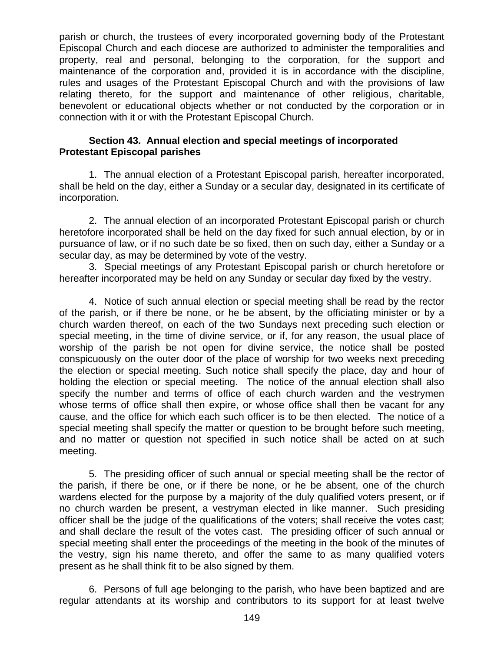parish or church, the trustees of every incorporated governing body of the Protestant Episcopal Church and each diocese are authorized to administer the temporalities and property, real and personal, belonging to the corporation, for the support and maintenance of the corporation and, provided it is in accordance with the discipline, rules and usages of the Protestant Episcopal Church and with the provisions of law relating thereto, for the support and maintenance of other religious, charitable, benevolent or educational objects whether or not conducted by the corporation or in connection with it or with the Protestant Episcopal Church.

### **Section 43. Annual election and special meetings of incorporated Protestant Episcopal parishes**

 1. The annual election of a Protestant Episcopal parish, hereafter incorporated, shall be held on the day, either a Sunday or a secular day, designated in its certificate of incorporation.

 2. The annual election of an incorporated Protestant Episcopal parish or church heretofore incorporated shall be held on the day fixed for such annual election, by or in pursuance of law, or if no such date be so fixed, then on such day, either a Sunday or a secular day, as may be determined by vote of the vestry.

 3. Special meetings of any Protestant Episcopal parish or church heretofore or hereafter incorporated may be held on any Sunday or secular day fixed by the vestry.

 4. Notice of such annual election or special meeting shall be read by the rector of the parish, or if there be none, or he be absent, by the officiating minister or by a church warden thereof, on each of the two Sundays next preceding such election or special meeting, in the time of divine service, or if, for any reason, the usual place of worship of the parish be not open for divine service, the notice shall be posted conspicuously on the outer door of the place of worship for two weeks next preceding the election or special meeting. Such notice shall specify the place, day and hour of holding the election or special meeting. The notice of the annual election shall also specify the number and terms of office of each church warden and the vestrymen whose terms of office shall then expire, or whose office shall then be vacant for any cause, and the office for which each such officer is to be then elected. The notice of a special meeting shall specify the matter or question to be brought before such meeting, and no matter or question not specified in such notice shall be acted on at such meeting.

 5. The presiding officer of such annual or special meeting shall be the rector of the parish, if there be one, or if there be none, or he be absent, one of the church wardens elected for the purpose by a majority of the duly qualified voters present, or if no church warden be present, a vestryman elected in like manner. Such presiding officer shall be the judge of the qualifications of the voters; shall receive the votes cast; and shall declare the result of the votes cast. The presiding officer of such annual or special meeting shall enter the proceedings of the meeting in the book of the minutes of the vestry, sign his name thereto, and offer the same to as many qualified voters present as he shall think fit to be also signed by them.

 6. Persons of full age belonging to the parish, who have been baptized and are regular attendants at its worship and contributors to its support for at least twelve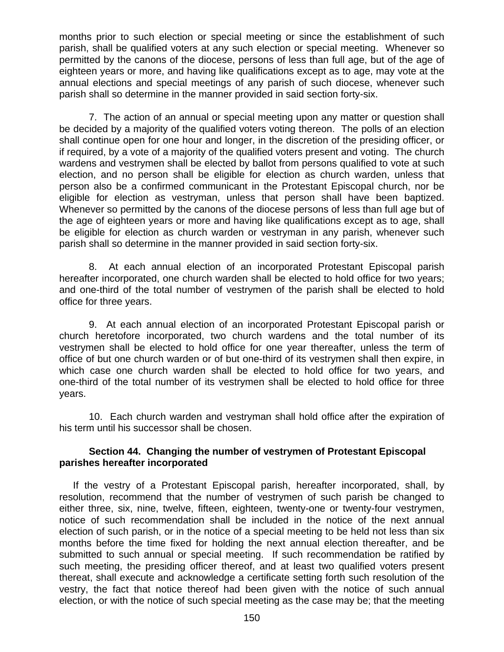months prior to such election or special meeting or since the establishment of such parish, shall be qualified voters at any such election or special meeting. Whenever so permitted by the canons of the diocese, persons of less than full age, but of the age of eighteen years or more, and having like qualifications except as to age, may vote at the annual elections and special meetings of any parish of such diocese, whenever such parish shall so determine in the manner provided in said section forty-six.

 7. The action of an annual or special meeting upon any matter or question shall be decided by a majority of the qualified voters voting thereon. The polls of an election shall continue open for one hour and longer, in the discretion of the presiding officer, or if required, by a vote of a majority of the qualified voters present and voting. The church wardens and vestrymen shall be elected by ballot from persons qualified to vote at such election, and no person shall be eligible for election as church warden, unless that person also be a confirmed communicant in the Protestant Episcopal church, nor be eligible for election as vestryman, unless that person shall have been baptized. Whenever so permitted by the canons of the diocese persons of less than full age but of the age of eighteen years or more and having like qualifications except as to age, shall be eligible for election as church warden or vestryman in any parish, whenever such parish shall so determine in the manner provided in said section forty-six.

 8. At each annual election of an incorporated Protestant Episcopal parish hereafter incorporated, one church warden shall be elected to hold office for two years; and one-third of the total number of vestrymen of the parish shall be elected to hold office for three years.

 9. At each annual election of an incorporated Protestant Episcopal parish or church heretofore incorporated, two church wardens and the total number of its vestrymen shall be elected to hold office for one year thereafter, unless the term of office of but one church warden or of but one-third of its vestrymen shall then expire, in which case one church warden shall be elected to hold office for two years, and one-third of the total number of its vestrymen shall be elected to hold office for three years.

 10. Each church warden and vestryman shall hold office after the expiration of his term until his successor shall be chosen.

# **Section 44. Changing the number of vestrymen of Protestant Episcopal parishes hereafter incorporated**

 If the vestry of a Protestant Episcopal parish, hereafter incorporated, shall, by resolution, recommend that the number of vestrymen of such parish be changed to either three, six, nine, twelve, fifteen, eighteen, twenty-one or twenty-four vestrymen, notice of such recommendation shall be included in the notice of the next annual election of such parish, or in the notice of a special meeting to be held not less than six months before the time fixed for holding the next annual election thereafter, and be submitted to such annual or special meeting. If such recommendation be ratified by such meeting, the presiding officer thereof, and at least two qualified voters present thereat, shall execute and acknowledge a certificate setting forth such resolution of the vestry, the fact that notice thereof had been given with the notice of such annual election, or with the notice of such special meeting as the case may be; that the meeting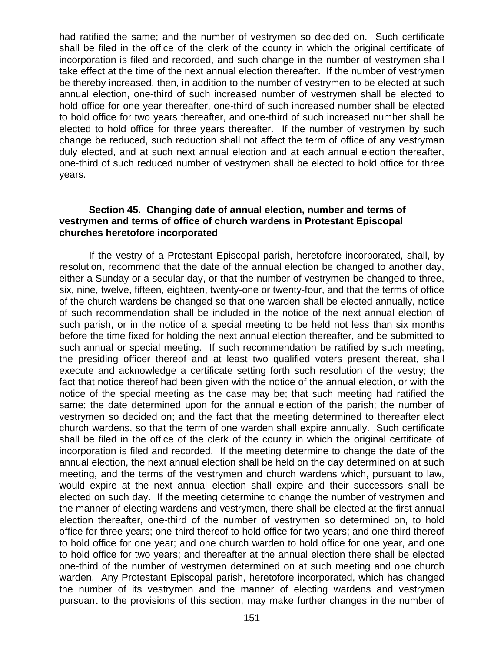had ratified the same; and the number of vestrymen so decided on. Such certificate shall be filed in the office of the clerk of the county in which the original certificate of incorporation is filed and recorded, and such change in the number of vestrymen shall take effect at the time of the next annual election thereafter. If the number of vestrymen be thereby increased, then, in addition to the number of vestrymen to be elected at such annual election, one-third of such increased number of vestrymen shall be elected to hold office for one year thereafter, one-third of such increased number shall be elected to hold office for two years thereafter, and one-third of such increased number shall be elected to hold office for three years thereafter. If the number of vestrymen by such change be reduced, such reduction shall not affect the term of office of any vestryman duly elected, and at such next annual election and at each annual election thereafter, one-third of such reduced number of vestrymen shall be elected to hold office for three years.

#### **Section 45. Changing date of annual election, number and terms of vestrymen and terms of office of church wardens in Protestant Episcopal churches heretofore incorporated**

 If the vestry of a Protestant Episcopal parish, heretofore incorporated, shall, by resolution, recommend that the date of the annual election be changed to another day, either a Sunday or a secular day, or that the number of vestrymen be changed to three, six, nine, twelve, fifteen, eighteen, twenty-one or twenty-four, and that the terms of office of the church wardens be changed so that one warden shall be elected annually, notice of such recommendation shall be included in the notice of the next annual election of such parish, or in the notice of a special meeting to be held not less than six months before the time fixed for holding the next annual election thereafter, and be submitted to such annual or special meeting. If such recommendation be ratified by such meeting, the presiding officer thereof and at least two qualified voters present thereat, shall execute and acknowledge a certificate setting forth such resolution of the vestry; the fact that notice thereof had been given with the notice of the annual election, or with the notice of the special meeting as the case may be; that such meeting had ratified the same; the date determined upon for the annual election of the parish; the number of vestrymen so decided on; and the fact that the meeting determined to thereafter elect church wardens, so that the term of one warden shall expire annually. Such certificate shall be filed in the office of the clerk of the county in which the original certificate of incorporation is filed and recorded. If the meeting determine to change the date of the annual election, the next annual election shall be held on the day determined on at such meeting, and the terms of the vestrymen and church wardens which, pursuant to law, would expire at the next annual election shall expire and their successors shall be elected on such day. If the meeting determine to change the number of vestrymen and the manner of electing wardens and vestrymen, there shall be elected at the first annual election thereafter, one-third of the number of vestrymen so determined on, to hold office for three years; one-third thereof to hold office for two years; and one-third thereof to hold office for one year; and one church warden to hold office for one year, and one to hold office for two years; and thereafter at the annual election there shall be elected one-third of the number of vestrymen determined on at such meeting and one church warden. Any Protestant Episcopal parish, heretofore incorporated, which has changed the number of its vestrymen and the manner of electing wardens and vestrymen pursuant to the provisions of this section, may make further changes in the number of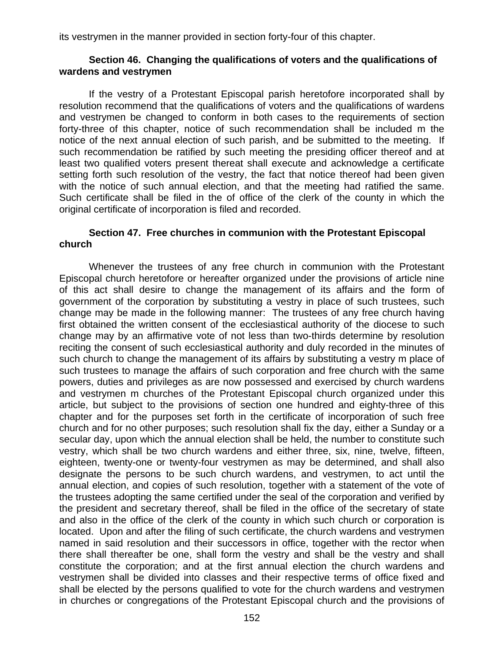its vestrymen in the manner provided in section forty-four of this chapter.

#### **Section 46. Changing the qualifications of voters and the qualifications of wardens and vestrymen**

 If the vestry of a Protestant Episcopal parish heretofore incorporated shall by resolution recommend that the qualifications of voters and the qualifications of wardens and vestrymen be changed to conform in both cases to the requirements of section forty-three of this chapter, notice of such recommendation shall be included m the notice of the next annual election of such parish, and be submitted to the meeting. If such recommendation be ratified by such meeting the presiding officer thereof and at least two qualified voters present thereat shall execute and acknowledge a certificate setting forth such resolution of the vestry, the fact that notice thereof had been given with the notice of such annual election, and that the meeting had ratified the same. Such certificate shall be filed in the of office of the clerk of the county in which the original certificate of incorporation is filed and recorded.

# **Section 47. Free churches in communion with the Protestant Episcopal church**

 Whenever the trustees of any free church in communion with the Protestant Episcopal church heretofore or hereafter organized under the provisions of article nine of this act shall desire to change the management of its affairs and the form of government of the corporation by substituting a vestry in place of such trustees, such change may be made in the following manner: The trustees of any free church having first obtained the written consent of the ecclesiastical authority of the diocese to such change may by an affirmative vote of not less than two-thirds determine by resolution reciting the consent of such ecclesiastical authority and duly recorded in the minutes of such church to change the management of its affairs by substituting a vestry m place of such trustees to manage the affairs of such corporation and free church with the same powers, duties and privileges as are now possessed and exercised by church wardens and vestrymen m churches of the Protestant Episcopal church organized under this article, but subject to the provisions of section one hundred and eighty-three of this chapter and for the purposes set forth in the certificate of incorporation of such free church and for no other purposes; such resolution shall fix the day, either a Sunday or a secular day, upon which the annual election shall be held, the number to constitute such vestry, which shall be two church wardens and either three, six, nine, twelve, fifteen, eighteen, twenty-one or twenty-four vestrymen as may be determined, and shall also designate the persons to be such church wardens, and vestrymen, to act until the annual election, and copies of such resolution, together with a statement of the vote of the trustees adopting the same certified under the seal of the corporation and verified by the president and secretary thereof, shall be filed in the office of the secretary of state and also in the office of the clerk of the county in which such church or corporation is located. Upon and after the filing of such certificate, the church wardens and vestrymen named in said resolution and their successors in office, together with the rector when there shall thereafter be one, shall form the vestry and shall be the vestry and shall constitute the corporation; and at the first annual election the church wardens and vestrymen shall be divided into classes and their respective terms of office fixed and shall be elected by the persons qualified to vote for the church wardens and vestrymen in churches or congregations of the Protestant Episcopal church and the provisions of